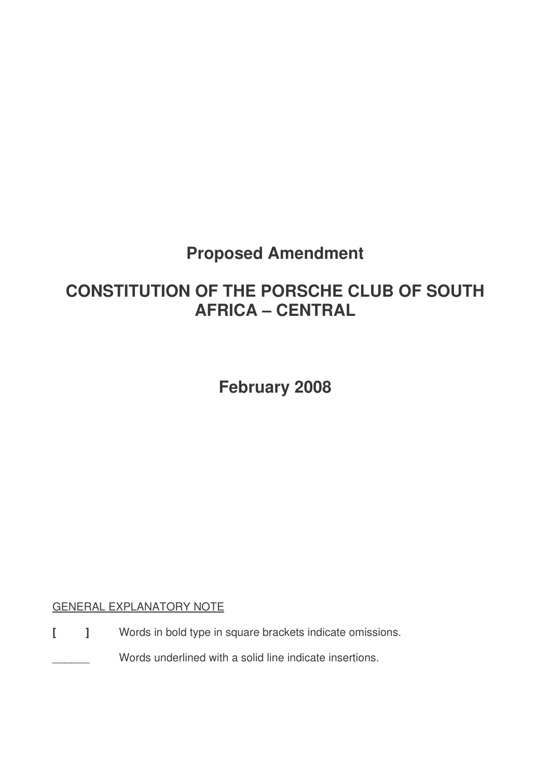# **Proposed Amendment**

# **CONSTITUTION OF THE PORSCHE CLUB OF SOUTH AFRICA – CENTRAL**

**February 2008**

# GENERAL EXPLANATORY NOTE

**[ ]** Words in bold type in square brackets indicate omissions.

Words underlined with a solid line indicate insertions.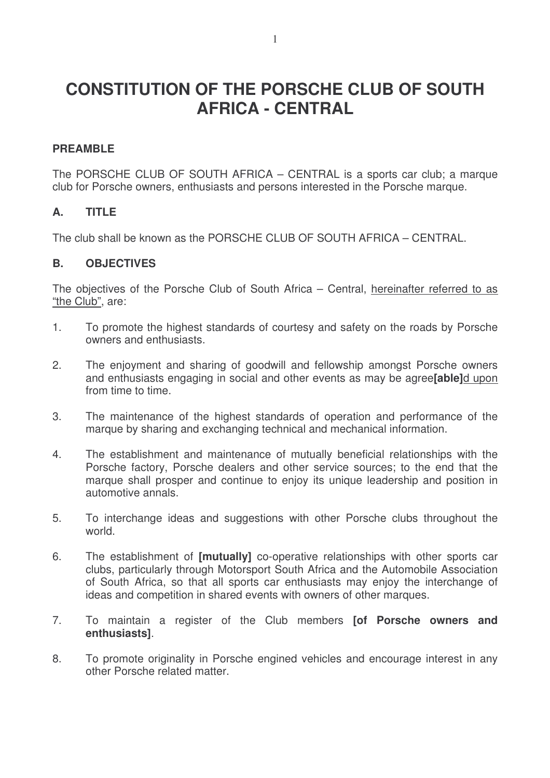# **CONSTITUTION OF THE PORSCHE CLUB OF SOUTH AFRICA - CENTRAL**

## **PREAMBLE**

The PORSCHE CLUB OF SOUTH AFRICA – CENTRAL is a sports car club; a marque club for Porsche owners, enthusiasts and persons interested in the Porsche marque.

## **A. TITLE**

The club shall be known as the PORSCHE CLUB OF SOUTH AFRICA – CENTRAL.

### **B. OBJECTIVES**

The objectives of the Porsche Club of South Africa – Central, hereinafter referred to as "the Club", are:

- 1. To promote the highest standards of courtesy and safety on the roads by Porsche owners and enthusiasts.
- 2. The enjoyment and sharing of goodwill and fellowship amongst Porsche owners and enthusiasts engaging in social and other events as may be agree**[able]**d upon from time to time.
- 3. The maintenance of the highest standards of operation and performance of the marque by sharing and exchanging technical and mechanical information.
- 4. The establishment and maintenance of mutually beneficial relationships with the Porsche factory, Porsche dealers and other service sources; to the end that the marque shall prosper and continue to enjoy its unique leadership and position in automotive annals.
- 5. To interchange ideas and suggestions with other Porsche clubs throughout the world.
- 6. The establishment of **[mutually]** co-operative relationships with other sports car clubs, particularly through Motorsport South Africa and the Automobile Association of South Africa, so that all sports car enthusiasts may enjoy the interchange of ideas and competition in shared events with owners of other marques.
- 7. To maintain a register of the Club members **[of Porsche owners and enthusiasts]**.
- 8. To promote originality in Porsche engined vehicles and encourage interest in any other Porsche related matter.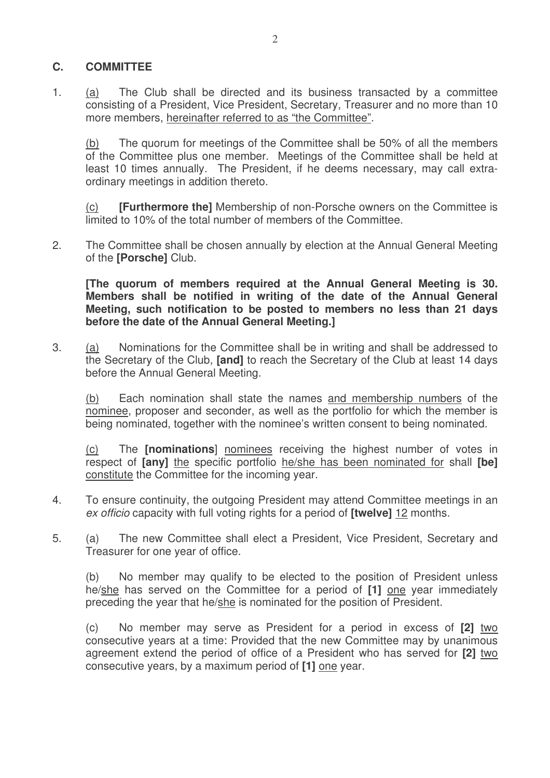# **C. COMMITTEE**

1. (a) The Club shall be directed and its business transacted by a committee consisting of a President, Vice President, Secretary, Treasurer and no more than 10 more members, hereinafter referred to as "the Committee".

(b) The quorum for meetings of the Committee shall be 50% of all the members of the Committee plus one member. Meetings of the Committee shall be held at least 10 times annually. The President, if he deems necessary, may call extraordinary meetings in addition thereto.

(c) **[Furthermore the]** Membership of non-Porsche owners on the Committee is limited to 10% of the total number of members of the Committee.

2. The Committee shall be chosen annually by election at the Annual General Meeting of the **[Porsche]** Club.

**[The quorum of members required at the Annual General Meeting is 30. Members shall be notified in writing of the date of the Annual General Meeting, such notification to be posted to members no less than 21 days before the date of the Annual General Meeting.]**

3. (a) Nominations for the Committee shall be in writing and shall be addressed to the Secretary of the Club, **[and]** to reach the Secretary of the Club at least 14 days before the Annual General Meeting.

(b) Each nomination shall state the names and membership numbers of the nominee, proposer and seconder, as well as the portfolio for which the member is being nominated, together with the nominee's written consent to being nominated.

(c) The **[nominations**] nominees receiving the highest number of votes in respect of **[any]** the specific portfolio he/she has been nominated for shall **[be]** constitute the Committee for the incoming year.

- 4. To ensure continuity, the outgoing President may attend Committee meetings in an *ex officio* capacity with full voting rights for a period of **[twelve]** 12 months.
- 5. (a) The new Committee shall elect a President, Vice President, Secretary and Treasurer for one year of office.

(b) No member may qualify to be elected to the position of President unless he/she has served on the Committee for a period of **[1]** one year immediately preceding the year that he/she is nominated for the position of President.

(c) No member may serve as President for a period in excess of **[2]** two consecutive years at a time: Provided that the new Committee may by unanimous agreement extend the period of office of a President who has served for **[2]** two consecutive years, by a maximum period of **[1]** one year.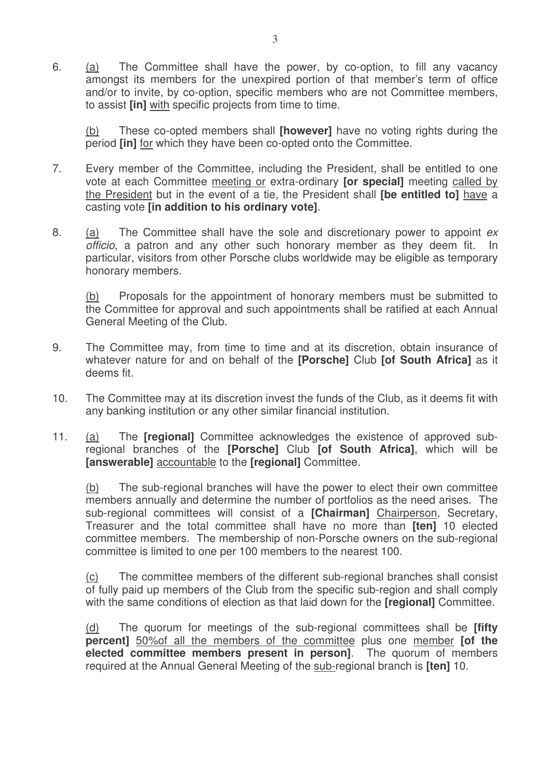6. (a) The Committee shall have the power, by co-option, to fill any vacancy amongst its members for the unexpired portion of that member's term of office and/or to invite, by co-option, specific members who are not Committee members, to assist **[in]** with specific projects from time to time.

(b) These co-opted members shall **[however]** have no voting rights during the period **[in]** for which they have been co-opted onto the Committee.

- 7. Every member of the Committee, including the President, shall be entitled to one vote at each Committee meeting or extra-ordinary **[or special]** meeting called by the President but in the event of a tie, the President shall **[be entitled to]** have a casting vote **[in addition to his ordinary vote]**.
- 8. (a) The Committee shall have the sole and discretionary power to appoint *ex officio*, a patron and any other such honorary member as they deem fit. In particular, visitors from other Porsche clubs worldwide may be eligible as temporary honorary members.

(b) Proposals for the appointment of honorary members must be submitted to the Committee for approval and such appointments shall be ratified at each Annual General Meeting of the Club.

- 9. The Committee may, from time to time and at its discretion, obtain insurance of whatever nature for and on behalf of the **[Porsche]** Club **[of South Africa]** as it deems fit.
- 10. The Committee may at its discretion invest the funds of the Club, as it deems fit with any banking institution or any other similar financial institution.
- 11. (a) The **[regional]** Committee acknowledges the existence of approved subregional branches of the **[Porsche]** Club **[of South Africa]**, which will be **[answerable]** accountable to the **[regional]** Committee.

(b) The sub-regional branches will have the power to elect their own committee members annually and determine the number of portfolios as the need arises. The sub-regional committees will consist of a **[Chairman]** Chairperson, Secretary, Treasurer and the total committee shall have no more than **[ten]** 10 elected committee members. The membership of non-Porsche owners on the sub-regional committee is limited to one per 100 members to the nearest 100.

(c) The committee members of the different sub-regional branches shall consist of fully paid up members of the Club from the specific sub-region and shall comply with the same conditions of election as that laid down for the **[regional]** Committee.

(d) The quorum for meetings of the sub-regional committees shall be **[fifty percent]** 50%of all the members of the committee plus one member **[of the elected committee members present in person]**. The quorum of members required at the Annual General Meeting of the sub-regional branch is **[ten]** 10.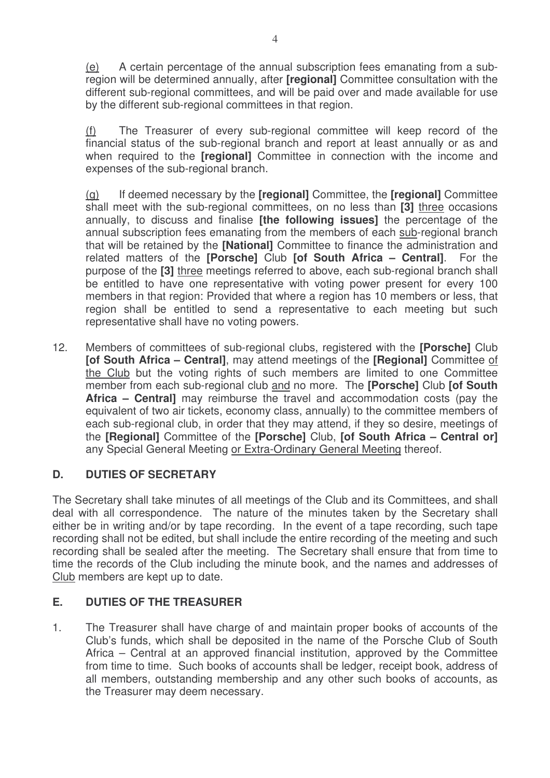(e) A certain percentage of the annual subscription fees emanating from a subregion will be determined annually, after **[regional]** Committee consultation with the different sub-regional committees, and will be paid over and made available for use by the different sub-regional committees in that region.

(f) The Treasurer of every sub-regional committee will keep record of the financial status of the sub-regional branch and report at least annually or as and when required to the **[regional]** Committee in connection with the income and expenses of the sub-regional branch.

(g) If deemed necessary by the **[regional]** Committee, the **[regional]** Committee shall meet with the sub-regional committees, on no less than **[3]** three occasions annually, to discuss and finalise **[the following issues]** the percentage of the annual subscription fees emanating from the members of each sub-regional branch that will be retained by the **[National]** Committee to finance the administration and related matters of the **[Porsche]** Club **[of South Africa – Central]**. For the purpose of the **[3]** three meetings referred to above, each sub-regional branch shall be entitled to have one representative with voting power present for every 100 members in that region: Provided that where a region has 10 members or less, that region shall be entitled to send a representative to each meeting but such representative shall have no voting powers.

12. Members of committees of sub-regional clubs, registered with the **[Porsche]** Club **[of South Africa – Central]**, may attend meetings of the **[Regional]** Committee of the Club but the voting rights of such members are limited to one Committee member from each sub-regional club and no more. The **[Porsche]** Club **[of South Africa – Central]** may reimburse the travel and accommodation costs (pay the equivalent of two air tickets, economy class, annually) to the committee members of each sub-regional club, in order that they may attend, if they so desire, meetings of the **[Regional]** Committee of the **[Porsche]** Club, **[of South Africa – Central or]** any Special General Meeting or Extra-Ordinary General Meeting thereof.

## **D. DUTIES OF SECRETARY**

The Secretary shall take minutes of all meetings of the Club and its Committees, and shall deal with all correspondence. The nature of the minutes taken by the Secretary shall either be in writing and/or by tape recording. In the event of a tape recording, such tape recording shall not be edited, but shall include the entire recording of the meeting and such recording shall be sealed after the meeting. The Secretary shall ensure that from time to time the records of the Club including the minute book, and the names and addresses of Club members are kept up to date.

## **E. DUTIES OF THE TREASURER**

1. The Treasurer shall have charge of and maintain proper books of accounts of the Club's funds, which shall be deposited in the name of the Porsche Club of South Africa – Central at an approved financial institution, approved by the Committee from time to time. Such books of accounts shall be ledger, receipt book, address of all members, outstanding membership and any other such books of accounts, as the Treasurer may deem necessary.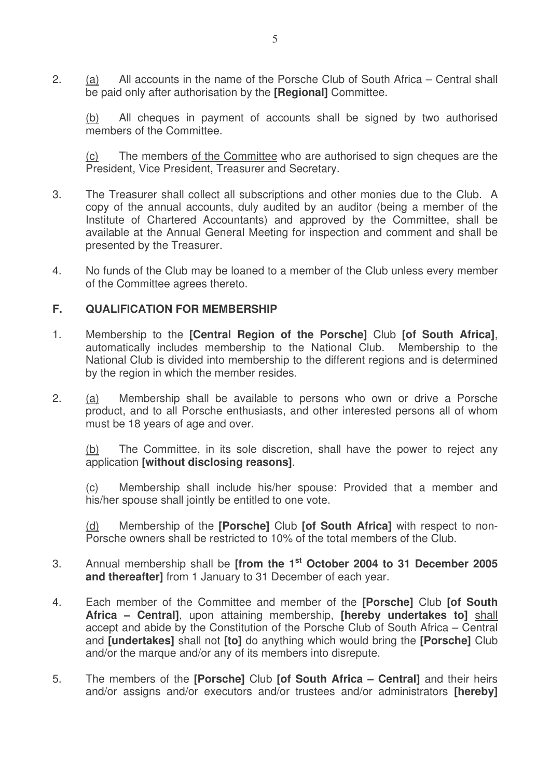2. (a) All accounts in the name of the Porsche Club of South Africa – Central shall be paid only after authorisation by the **[Regional]** Committee.

(b) All cheques in payment of accounts shall be signed by two authorised members of the Committee.

(c) The members of the Committee who are authorised to sign cheques are the President, Vice President, Treasurer and Secretary.

- 3. The Treasurer shall collect all subscriptions and other monies due to the Club. A copy of the annual accounts, duly audited by an auditor (being a member of the Institute of Chartered Accountants) and approved by the Committee, shall be available at the Annual General Meeting for inspection and comment and shall be presented by the Treasurer.
- 4. No funds of the Club may be loaned to a member of the Club unless every member of the Committee agrees thereto.

#### **F. QUALIFICATION FOR MEMBERSHIP**

- 1. Membership to the **[Central Region of the Porsche]** Club **[of South Africa]**, automatically includes membership to the National Club. Membership to the National Club is divided into membership to the different regions and is determined by the region in which the member resides.
- 2. (a) Membership shall be available to persons who own or drive a Porsche product, and to all Porsche enthusiasts, and other interested persons all of whom must be 18 years of age and over.

(b) The Committee, in its sole discretion, shall have the power to reject any application **[without disclosing reasons]**.

(c) Membership shall include his/her spouse: Provided that a member and his/her spouse shall jointly be entitled to one vote.

(d) Membership of the **[Porsche]** Club **[of South Africa]** with respect to non-Porsche owners shall be restricted to 10% of the total members of the Club.

- 3. Annual membership shall be **[from the 1 st October 2004 to 31 December 2005 and thereafter]** from 1 January to 31 December of each year.
- 4. Each member of the Committee and member of the **[Porsche]** Club **[of South Africa – Central]**, upon attaining membership, **[hereby undertakes to]** shall accept and abide by the Constitution of the Porsche Club of South Africa – Central and **[undertakes]** shall not **[to]** do anything which would bring the **[Porsche]** Club and/or the marque and/or any of its members into disrepute.
- 5. The members of the **[Porsche]** Club **[of South Africa – Central]** and their heirs and/or assigns and/or executors and/or trustees and/or administrators **[hereby]**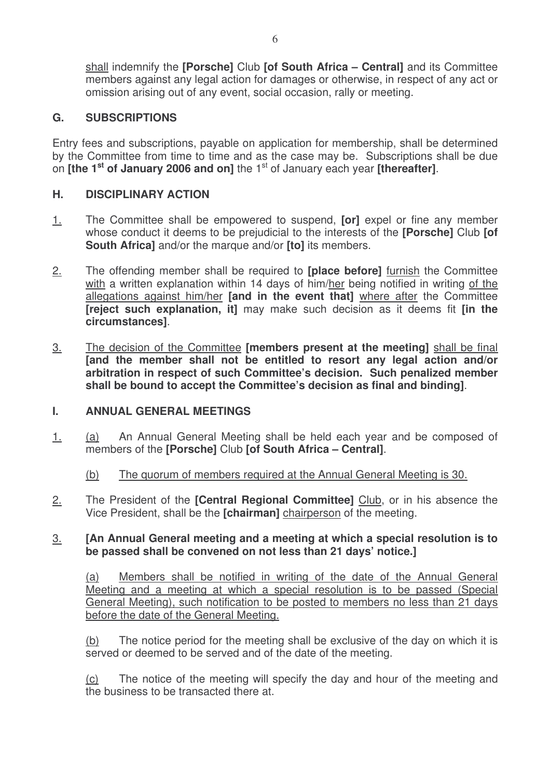shall indemnify the **[Porsche]** Club **[of South Africa – Central]** and its Committee members against any legal action for damages or otherwise, in respect of any act or omission arising out of any event, social occasion, rally or meeting.

## **G. SUBSCRIPTIONS**

Entry fees and subscriptions, payable on application for membership, shall be determined by the Committee from time to time and as the case may be. Subscriptions shall be due on **[the 1 st of January 2006 and on]** the 1 st of January each year **[thereafter]**.

## **H. DISCIPLINARY ACTION**

- 1. The Committee shall be empowered to suspend, **[or]** expel or fine any member whose conduct it deems to be prejudicial to the interests of the **[Porsche]** Club **[of South Africa]** and/or the marque and/or **[to]** its members.
- 2. The offending member shall be required to **[place before]** furnish the Committee with a written explanation within 14 days of him/her being notified in writing of the allegations against him/her **[and in the event that]** where after the Committee **[reject such explanation, it]** may make such decision as it deems fit **[in the circumstances]**.
- 3. The decision of the Committee **[members present at the meeting]** shall be final **[and the member shall not be entitled to resort any legal action and/or arbitration in respect of such Committee's decision. Such penalized member shall be bound to accept the Committee's decision as final and binding]**.

## **I. ANNUAL GENERAL MEETINGS**

1. (a) An Annual General Meeting shall be held each year and be composed of members of the **[Porsche]** Club **[of South Africa – Central]**.

## (b) The quorum of members required at the Annual General Meeting is 30.

2. The President of the **[Central Regional Committee]** Club, or in his absence the Vice President, shall be the **[chairman]** chairperson of the meeting.

### 3. **[An Annual General meeting and a meeting at which a special resolution is to be passed shall be convened on not less than 21 days' notice.]**

(a) Members shall be notified in writing of the date of the Annual General Meeting and a meeting at which a special resolution is to be passed (Special General Meeting), such notification to be posted to members no less than 21 days before the date of the General Meeting.

(b) The notice period for the meeting shall be exclusive of the day on which it is served or deemed to be served and of the date of the meeting.

(c) The notice of the meeting will specify the day and hour of the meeting and the business to be transacted there at.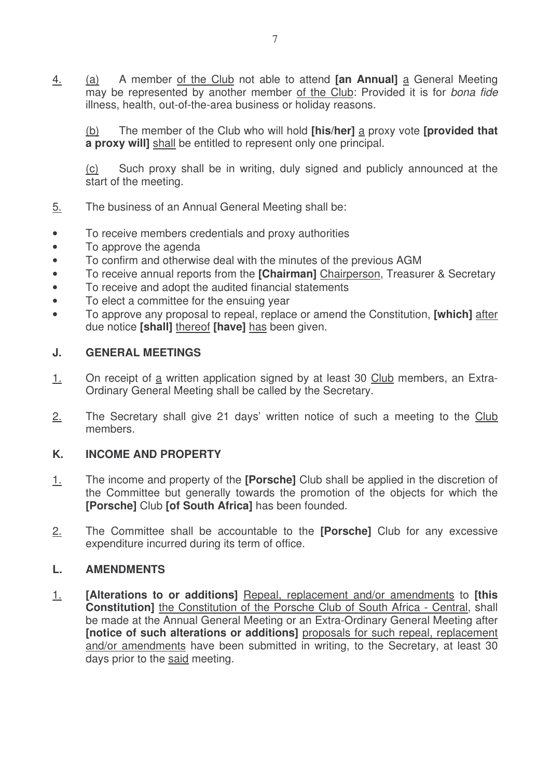4. (a) A member of the Club not able to attend **[an Annual]** a General Meeting may be represented by another member of the Club: Provided it is for *bona fide* illness, health, out-of-the-area business or holiday reasons.

(b) The member of the Club who will hold **[his/her]** a proxy vote **[provided that a proxy will]** shall be entitled to represent only one principal.

(c) Such proxy shall be in writing, duly signed and publicly announced at the start of the meeting.

- 5. The business of an Annual General Meeting shall be:
- To receive members credentials and proxy authorities
- To approve the agenda
- To confirm and otherwise deal with the minutes of the previous AGM
- To receive annual reports from the **[Chairman]** Chairperson, Treasurer & Secretary
- To receive and adopt the audited financial statements
- To elect a committee for the ensuing year
- To approve any proposal to repeal, replace or amend the Constitution, **[which]** after due notice **[shall]** thereof **[have]** has been given.

## **J. GENERAL MEETINGS**

- 1. On receipt of a written application signed by at least 30 Club members, an Extra-Ordinary General Meeting shall be called by the Secretary.
- 2. The Secretary shall give 21 days' written notice of such a meeting to the Club members.

# **K. INCOME AND PROPERTY**

- 1. The income and property of the **[Porsche]** Club shall be applied in the discretion of the Committee but generally towards the promotion of the objects for which the **[Porsche]** Club **[of South Africa]** has been founded.
- 2. The Committee shall be accountable to the **[Porsche]** Club for any excessive expenditure incurred during its term of office.

## **L. AMENDMENTS**

1. **[Alterations to or additions]** Repeal, replacement and/or amendments to **[this Constitution]** the Constitution of the Porsche Club of South Africa - Central, shall be made at the Annual General Meeting or an Extra-Ordinary General Meeting after **[notice of such alterations or additions]** proposals for such repeal, replacement and/or amendments have been submitted in writing, to the Secretary, at least 30 days prior to the said meeting.